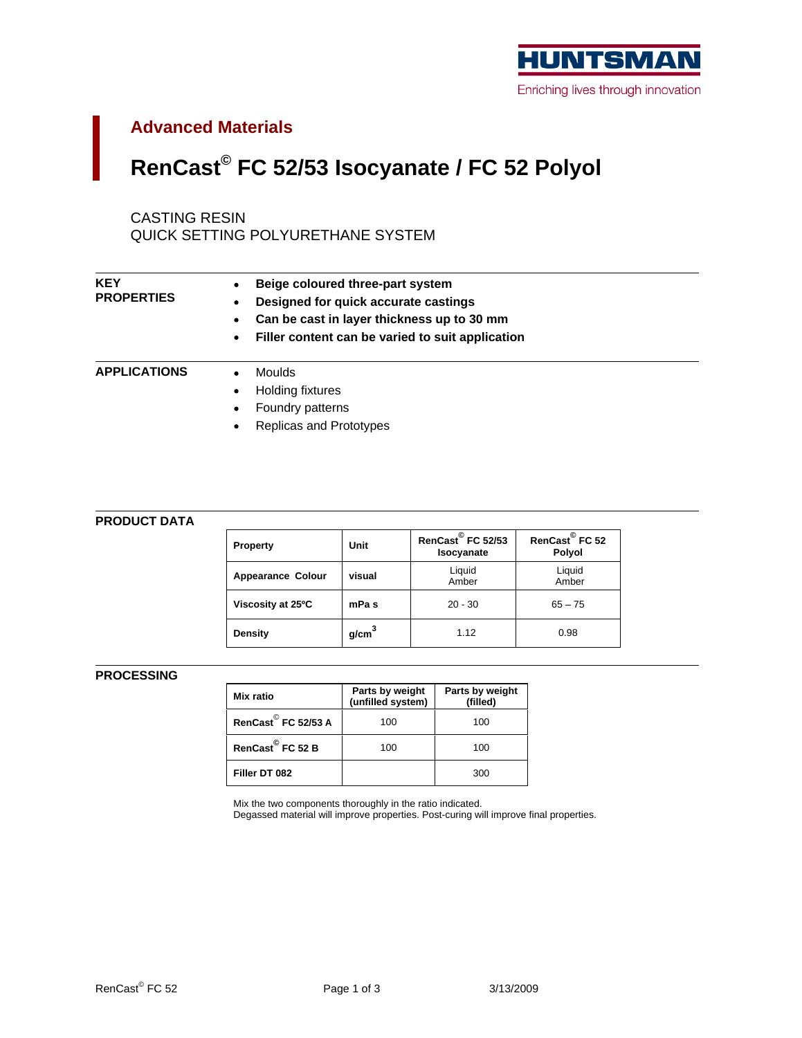

# **Advanced Materials**

# **RenCast© FC 52/53 Isocyanate / FC 52 Polyol**

## CASTING RESIN

QUICK SETTING POLYURETHANE SYSTEM

| <b>KEY</b><br><b>PROPERTIES</b> | <b>Beige coloured three-part system</b><br>• Designed for quick accurate castings |
|---------------------------------|-----------------------------------------------------------------------------------|
|                                 | • Can be cast in layer thickness up to 30 mm                                      |
|                                 | • Filler content can be varied to suit application                                |
| <b>APPLICATIONS</b>             | Moulds                                                                            |
|                                 | Holding fixtures                                                                  |
|                                 | • Foundry patterns                                                                |
|                                 | • Replicas and Prototypes                                                         |

### **PRODUCT DATA**

| Property                   | Unit           | RenCast FC 52/53 RenCast FC 52<br>Isocyanate | Polyol          |
|----------------------------|----------------|----------------------------------------------|-----------------|
| Appearance Colour   visual |                | Liquid<br>Amber                              | Liquid<br>Amber |
| Viscosity at 25°C          | <b>∪</b> mPa s | $20 - 30$                                    | $65 - 75$       |
| <b>Density</b>             | g/cm           | 1 1 2                                        | 0.98            |

### **PROCESSING**

| <b>Mix ratio</b>                | Parts by weight Parts by weight (unfilled system) (filled) |     |
|---------------------------------|------------------------------------------------------------|-----|
| RenCast <sup>©</sup> FC 52/53 A | 100<br>טעו                                                 | 100 |
| RenCast <sup>©</sup> FC 52 B    | 100<br>$\sim$                                              | 100 |
| Filler DT 082                   |                                                            | 300 |

Mix the two components thoroughly in the ratio indicated.

Degassed material will improve properties. Post-curing will improve final properties.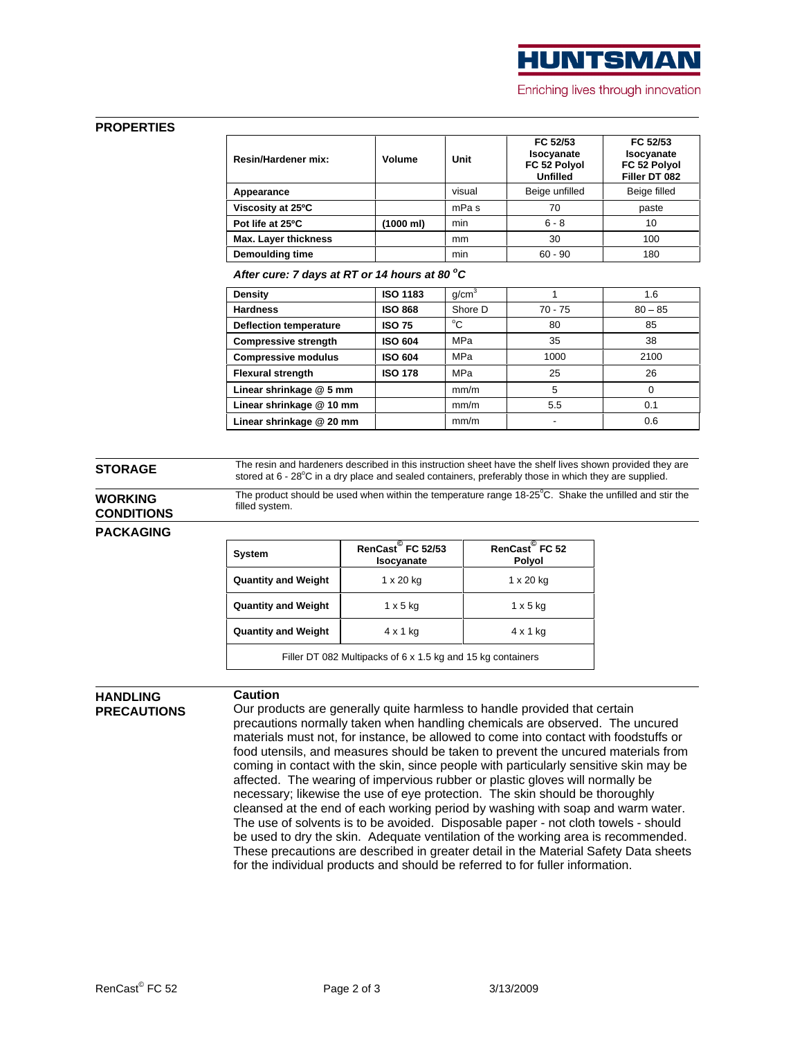

**Caution Caution** 

### **PROPERTIES**

| Resin/Hardener mix     | Volume    | Unit  | FC 52/53<br>Isocyanate<br>FC 52 Polyo | FC 52/53<br>Isocyanate<br>FC 52 Polyol |
|------------------------|-----------|-------|---------------------------------------|----------------------------------------|
|                        |           |       | $11m$ $511m$<br>սոււ                  | Filler DT 082                          |
| Appearance             |           | /ISUc | <b>Beige</b>                          | Beige fille                            |
| Viscosity at 25°C      |           | mPa s |                                       | nasi                                   |
| Pot life at 25°C       | (1000 ml) |       |                                       |                                        |
| Max. Layer thickness   |           | mm    |                                       |                                        |
| <b>Demoulding time</b> |           | min   | 60 - 90                               |                                        |

**After cure: 7 days at RT or 14 hours at 80 oC**

| <b>ISO 1183</b><br><b>Density</b>                     | $80 - 85$<br>70 - 75 |               |
|-------------------------------------------------------|----------------------|---------------|
|                                                       |                      |               |
| <b>ISO 868</b><br><b>Hardness</b><br>Shore D          |                      |               |
| <b>ISO 75</b><br><b>Deflection temperature</b>        |                      |               |
| <b>ISO 604</b><br>MPa<br><b>Compressive strength</b>  |                      |               |
| <b>ISO 604</b><br><b>Compressive modulus</b><br>l MPa |                      | 0400<br>د ا ٻ |
| <b>ISO 178</b><br><b>Flexural strength</b><br>MPa     |                      |               |
| Linear shrinkage @ 5 mm<br>mm/m                       |                      |               |
| Linear shrinkage @ 10 mm<br>mm/m                      |                      |               |
| Linear shrinkage @ 20 mm<br>mm/m                      |                      |               |

**STORAGE** The resin and hardeners described in this instruction sheet have the shelf lives shown provided they are stored at  $6$  -  $28^{\circ}$ C in a dry place and sealed containers, preferably those in which they are supplied.

**WORKING** The product should be used when within the temperature range 18-25°C. Shake the unfilled and stir the **CONDITIONS Example 2** system. filled system.

### **PACKAGING**

| System                                                      | RenCast FC 52/53<br>Isocyanate | RenCast <sup>©</sup> FC 52<br>Polyol |
|-------------------------------------------------------------|--------------------------------|--------------------------------------|
| <b>Quantity and Weight</b>                                  | 1 x 20 kg                      | 1 x 20 kg                            |
| <b>Quantity and Weight</b>                                  | $1 \times 5$ kg                | $1 \times 5$ kg                      |
| <b>Quantity and Weight</b>                                  | $4 \times 1$ kg                | $4 \times 1$ kg                      |
| Filler DT 082 Multipacks of 6 x 1.5 kg and 15 kg containers |                                |                                      |

# **HANDLING**

**PRECAUTIONS** Our products are generally quite harmless to handle provided that certain precautions normally taken when handling chemicals are observed. The uncured materials must not, for instance, be allowed to come into contact with foodstuffs or food utensils, and measures should be taken to prevent the uncured materials from coming in contact with the skin, since people with particularly sensitive skin may be affected. The wearing of impervious rubber or plastic gloves will normally be necessary; likewise the use of eye protection. The skin should be thoroughly cleansed at the end of each working period by washing with soap and warm water. The use of solvents is to be avoided. Disposable paper - not cloth towels - should be used to dry the skin. Adequate ventilation of the working area is recommended. These precautions are described in greater detail in the Material Safety Data sheets for the individual products and should be referred to for fuller information.